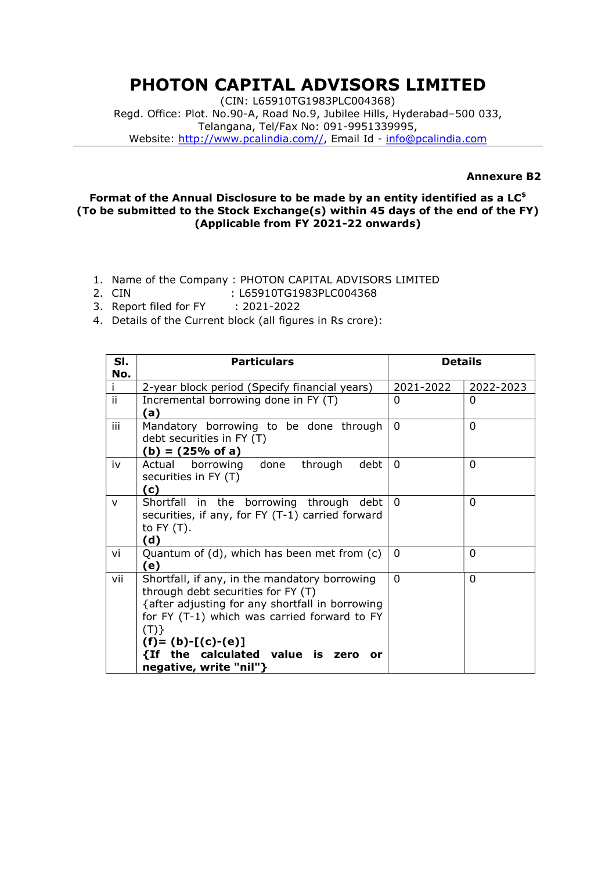## PHOTON CAPITAL ADVISORS LIMITED

(CIN: L65910TG1983PLC004368) Regd. Office: Plot. No.90-A, Road No.9, Jubilee Hills, Hyderabad–500 033, Telangana, Tel/Fax No: 091-9951339995, Website: http://www.pcalindia.com//, Email Id - info@pcalindia.com

## Annexure B2

## Format of the Annual Disclosure to be made by an entity identified as a  $LC^{\$}$ (To be submitted to the Stock Exchange(s) within 45 days of the end of the FY) (Applicable from FY 2021-22 onwards)

- 1. Name of the Company : PHOTON CAPITAL ADVISORS LIMITED
- 2. CIN : L65910TG1983PLC004368
- 3. Report filed for FY : 2021-2022
- 4. Details of the Current block (all figures in Rs crore):

| SI.<br>No. | <b>Particulars</b>                                                                                                                                                                                                                                                                                | <b>Details</b> |           |
|------------|---------------------------------------------------------------------------------------------------------------------------------------------------------------------------------------------------------------------------------------------------------------------------------------------------|----------------|-----------|
|            | 2-year block period (Specify financial years)                                                                                                                                                                                                                                                     | 2021-2022      | 2022-2023 |
| ii.        | Incremental borrowing done in FY (T)<br>(a)                                                                                                                                                                                                                                                       | 0              | 0         |
| iii        | Mandatory borrowing to be done through<br>debt securities in FY (T)<br>$(b) = (25% of a)$                                                                                                                                                                                                         | $\Omega$       | $\Omega$  |
| iv         | through<br>debt<br>Actual<br>borrowing<br>done<br>securities in FY (T)<br>(c)                                                                                                                                                                                                                     | $\Omega$       | $\Omega$  |
| $\vee$     | Shortfall in the borrowing through debt<br>securities, if any, for FY (T-1) carried forward<br>to $FY(T)$ .<br>(d)                                                                                                                                                                                | $\Omega$       | $\Omega$  |
| vi         | Quantum of (d), which has been met from (c)<br>(e)                                                                                                                                                                                                                                                | 0              | $\Omega$  |
| vii        | Shortfall, if any, in the mandatory borrowing<br>through debt securities for FY (T)<br>{after adjusting for any shortfall in borrowing<br>for FY (T-1) which was carried forward to FY<br>(T)<br>$(f) = (b) - [(c) - (e)]$<br>{If the calculated value is<br>zero<br>or<br>negative, write "nil"} | 0              | $\Omega$  |